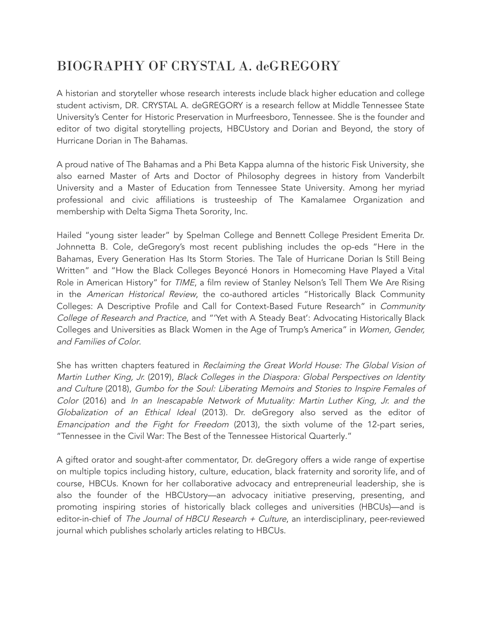## BIOGRAPHY OF CRYSTAL A. deGREGORY

A historian and storyteller whose research interests include black higher education and college student activism, DR. CRYSTAL A. deGREGORY is a research fellow at Middle Tennessee State University's Center for Historic Preservation in Murfreesboro, Tennessee. She is the founder and editor of two digital storytelling projects, HBCUstory and Dorian and Beyond, the story of Hurricane Dorian in The Bahamas.

A proud native of The Bahamas and a Phi Beta Kappa alumna of the historic Fisk University, she also earned Master of Arts and Doctor of Philosophy degrees in history from Vanderbilt University and a Master of Education from Tennessee State University. Among her myriad professional and civic affiliations is trusteeship of The Kamalamee Organization and membership with Delta Sigma Theta Sorority, Inc.

Hailed "young sister leader" by Spelman College and Bennett College President Emerita Dr. Johnnetta B. Cole, deGregory's most recent publishing includes the op-eds "Here in the Bahamas, Every Generation Has Its Storm Stories. The Tale of Hurricane Dorian Is Still Being Written" and "How the Black Colleges Beyoncé Honors in Homecoming Have Played a Vital Role in American History" for TIME, a film review of Stanley Nelson's Tell Them We Are Rising in the American Historical Review, the co-authored articles "Historically Black Community Colleges: A Descriptive Profile and Call for Context-Based Future Research" in Community College of Research and Practice, and "'Yet with A Steady Beat': Advocating Historically Black Colleges and Universities as Black Women in the Age of Trump's America" in Women, Gender, and Families of Color.

She has written chapters featured in Reclaiming the Great World House: The Global Vision of Martin Luther King, Jr. (2019), Black Colleges in the Diaspora: Global Perspectives on Identity and Culture (2018), Gumbo for the Soul: Liberating Memoirs and Stories to Inspire Females of Color (2016) and In an Inescapable Network of Mutuality: Martin Luther King, Jr. and the Globalization of an Ethical Ideal (2013). Dr. deGregory also served as the editor of Emancipation and the Fight for Freedom (2013), the sixth volume of the 12-part series, "Tennessee in the Civil War: The Best of the Tennessee Historical Quarterly."

A gifted orator and sought-after commentator, Dr. deGregory offers a wide range of expertise on multiple topics including history, culture, education, black fraternity and sorority life, and of course, HBCUs. Known for her collaborative advocacy and entrepreneurial leadership, she is also the founder of the HBCUstory—an advocacy initiative preserving, presenting, and promoting inspiring stories of historically black colleges and universities (HBCUs)—and is editor-in-chief of The Journal of HBCU Research  $+$  Culture, an interdisciplinary, peer-reviewed journal which publishes scholarly articles relating to HBCUs.